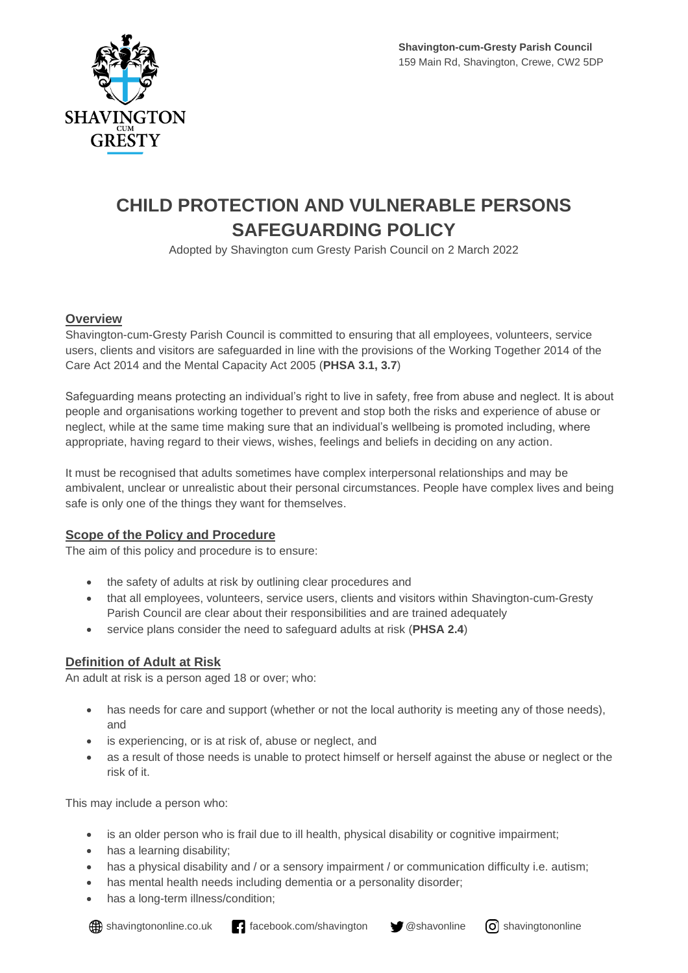

# **CHILD PROTECTION AND VULNERABLE PERSONS SAFEGUARDING POLICY**

Adopted by Shavington cum Gresty Parish Council on 2 March 2022

#### **Overview**

Shavington-cum-Gresty Parish Council is committed to ensuring that all employees, volunteers, service users, clients and visitors are safeguarded in line with the provisions of the Working Together 2014 of the Care Act 2014 and the Mental Capacity Act 2005 (**PHSA 3.1, 3.7**)

Safeguarding means protecting an individual's right to live in safety, free from abuse and neglect. It is about people and organisations working together to prevent and stop both the risks and experience of abuse or neglect, while at the same time making sure that an individual's wellbeing is promoted including, where appropriate, having regard to their views, wishes, feelings and beliefs in deciding on any action.

It must be recognised that adults sometimes have complex interpersonal relationships and may be ambivalent, unclear or unrealistic about their personal circumstances. People have complex lives and being safe is only one of the things they want for themselves.

#### **Scope of the Policy and Procedure**

The aim of this policy and procedure is to ensure:

- the safety of adults at risk by outlining clear procedures and
- that all employees, volunteers, service users, clients and visitors within Shavington-cum-Gresty Parish Council are clear about their responsibilities and are trained adequately
- service plans consider the need to safeguard adults at risk (**PHSA 2.4**)

## **Definition of Adult at Risk**

An adult at risk is a person aged 18 or over; who:

- has needs for care and support (whether or not the local authority is meeting any of those needs), and
- is experiencing, or is at risk of, abuse or neglect, and
- as a result of those needs is unable to protect himself or herself against the abuse or neglect or the risk of it.

This may include a person who:

- is an older person who is frail due to ill health, physical disability or cognitive impairment;
- has a learning disability;
- has a physical disability and / or a sensory impairment / or communication difficulty i.e. autism;
- has mental health needs including dementia or a personality disorder;
- has a long-term illness/condition;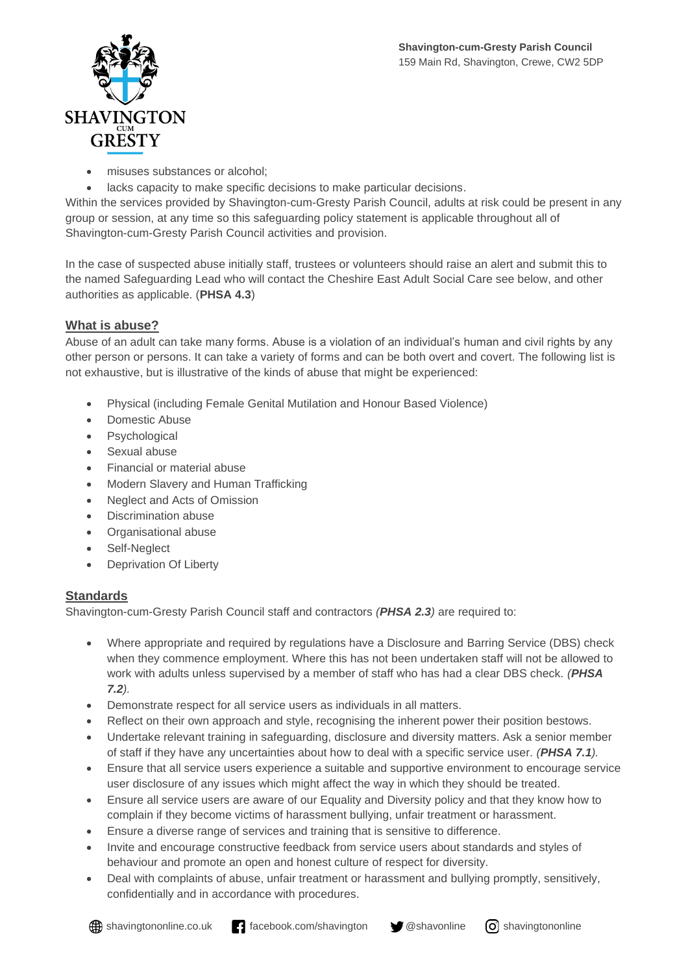

- misuses substances or alcohol;
- lacks capacity to make specific decisions to make particular decisions.

Within the services provided by Shavington-cum-Gresty Parish Council, adults at risk could be present in any group or session, at any time so this safeguarding policy statement is applicable throughout all of Shavington-cum-Gresty Parish Council activities and provision.

In the case of suspected abuse initially staff, trustees or volunteers should raise an alert and submit this to the named Safeguarding Lead who will contact the Cheshire East Adult Social Care see below, and other authorities as applicable. (**PHSA 4.3**)

## **What is abuse?**

Abuse of an adult can take many forms. Abuse is a violation of an individual's human and civil rights by any other person or persons. It can take a variety of forms and can be both overt and covert. The following list is not exhaustive, but is illustrative of the kinds of abuse that might be experienced:

- Physical (including Female Genital Mutilation and Honour Based Violence)
- Domestic Abuse
- Psychological
- Sexual abuse
- Financial or material abuse
- Modern Slavery and Human Trafficking
- Neglect and Acts of Omission
- Discrimination abuse
- Organisational abuse
- Self-Neglect
- Deprivation Of Liberty

## **Standards**

Shavington-cum-Gresty Parish Council staff and contractors *(PHSA 2.3)* are required to:

- Where appropriate and required by regulations have a Disclosure and Barring Service (DBS) check when they commence employment. Where this has not been undertaken staff will not be allowed to work with adults unless supervised by a member of staff who has had a clear DBS check. *(PHSA 7.2).*
- Demonstrate respect for all service users as individuals in all matters.
- Reflect on their own approach and style, recognising the inherent power their position bestows.
- Undertake relevant training in safeguarding, disclosure and diversity matters. Ask a senior member of staff if they have any uncertainties about how to deal with a specific service user. *(PHSA 7.1).*
- Ensure that all service users experience a suitable and supportive environment to encourage service user disclosure of any issues which might affect the way in which they should be treated.
- Ensure all service users are aware of our Equality and Diversity policy and that they know how to complain if they become victims of harassment bullying, unfair treatment or harassment.
- Ensure a diverse range of services and training that is sensitive to difference.
- Invite and encourage constructive feedback from service users about standards and styles of behaviour and promote an open and honest culture of respect for diversity.
- Deal with complaints of abuse, unfair treatment or harassment and bullying promptly, sensitively, confidentially and in accordance with procedures.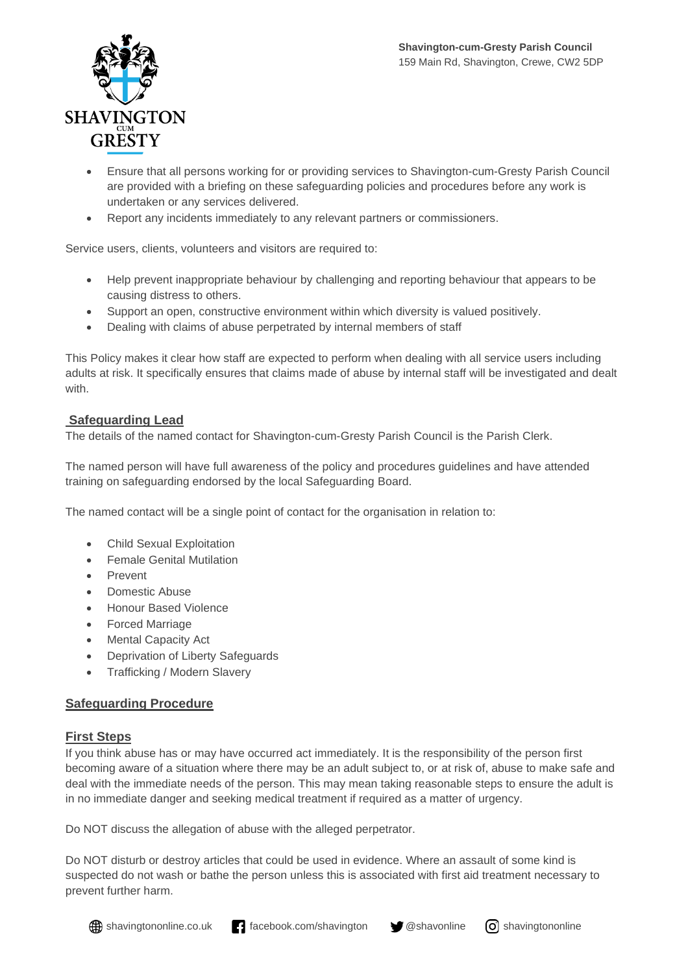

- Ensure that all persons working for or providing services to Shavington-cum-Gresty Parish Council are provided with a briefing on these safeguarding policies and procedures before any work is undertaken or any services delivered.
- Report any incidents immediately to any relevant partners or commissioners.

Service users, clients, volunteers and visitors are required to:

- Help prevent inappropriate behaviour by challenging and reporting behaviour that appears to be causing distress to others.
- Support an open, constructive environment within which diversity is valued positively.
- Dealing with claims of abuse perpetrated by internal members of staff

This Policy makes it clear how staff are expected to perform when dealing with all service users including adults at risk. It specifically ensures that claims made of abuse by internal staff will be investigated and dealt with.

#### **Safeguarding Lead**

The details of the named contact for Shavington-cum-Gresty Parish Council is the Parish Clerk.

The named person will have full awareness of the policy and procedures guidelines and have attended training on safeguarding endorsed by the local Safeguarding Board.

The named contact will be a single point of contact for the organisation in relation to:

- Child Sexual Exploitation
- Female Genital Mutilation
- Prevent
- Domestic Abuse
- Honour Based Violence
- Forced Marriage
- Mental Capacity Act
- Deprivation of Liberty Safeguards
- Trafficking / Modern Slavery

#### **Safeguarding Procedure**

#### **First Steps**

If you think abuse has or may have occurred act immediately. It is the responsibility of the person first becoming aware of a situation where there may be an adult subject to, or at risk of, abuse to make safe and deal with the immediate needs of the person. This may mean taking reasonable steps to ensure the adult is in no immediate danger and seeking medical treatment if required as a matter of urgency.

Do NOT discuss the allegation of abuse with the alleged perpetrator.

Do NOT disturb or destroy articles that could be used in evidence. Where an assault of some kind is suspected do not wash or bathe the person unless this is associated with first aid treatment necessary to prevent further harm.

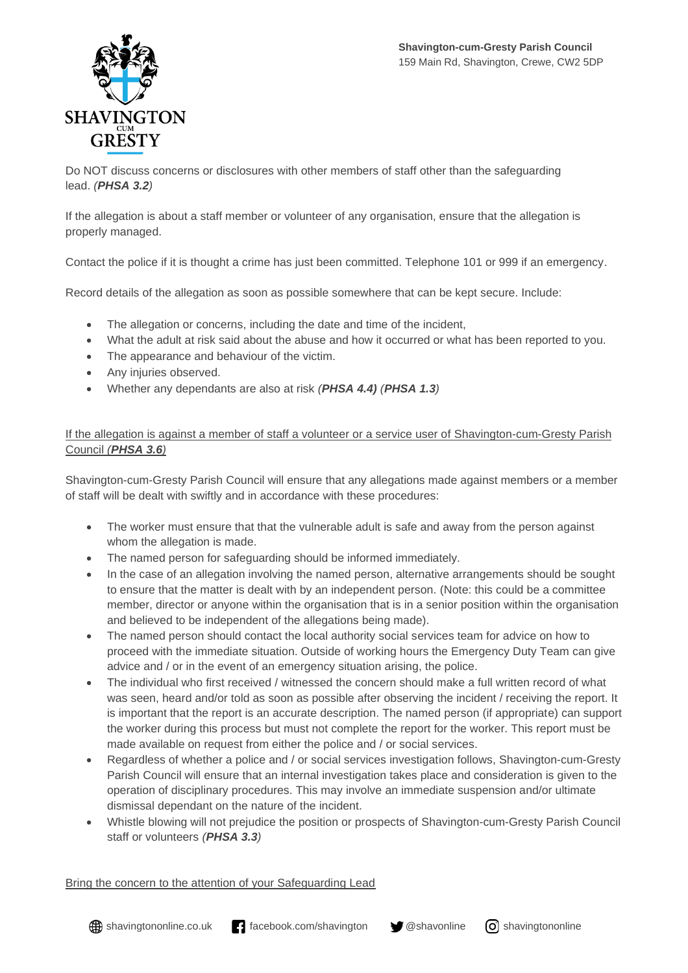

Do NOT discuss concerns or disclosures with other members of staff other than the safeguarding lead. *(PHSA 3.2)*

If the allegation is about a staff member or volunteer of any organisation, ensure that the allegation is properly managed.

Contact the police if it is thought a crime has just been committed. Telephone 101 or 999 if an emergency.

Record details of the allegation as soon as possible somewhere that can be kept secure. Include:

- The allegation or concerns, including the date and time of the incident,
- What the adult at risk said about the abuse and how it occurred or what has been reported to you.
- The appearance and behaviour of the victim.
- Any injuries observed.
- Whether any dependants are also at risk *(PHSA 4.4) (PHSA 1.3)*

#### If the allegation is against a member of staff a volunteer or a service user of Shavington-cum-Gresty Parish Council *(PHSA 3.6)*

Shavington-cum-Gresty Parish Council will ensure that any allegations made against members or a member of staff will be dealt with swiftly and in accordance with these procedures:

- The worker must ensure that that the vulnerable adult is safe and away from the person against whom the allegation is made.
- The named person for safeguarding should be informed immediately.
- In the case of an allegation involving the named person, alternative arrangements should be sought to ensure that the matter is dealt with by an independent person. (Note: this could be a committee member, director or anyone within the organisation that is in a senior position within the organisation and believed to be independent of the allegations being made).
- The named person should contact the local authority social services team for advice on how to proceed with the immediate situation. Outside of working hours the Emergency Duty Team can give advice and / or in the event of an emergency situation arising, the police.
- The individual who first received / witnessed the concern should make a full written record of what was seen, heard and/or told as soon as possible after observing the incident / receiving the report. It is important that the report is an accurate description. The named person (if appropriate) can support the worker during this process but must not complete the report for the worker. This report must be made available on request from either the police and / or social services.
- Regardless of whether a police and / or social services investigation follows, Shavington-cum-Gresty Parish Council will ensure that an internal investigation takes place and consideration is given to the operation of disciplinary procedures. This may involve an immediate suspension and/or ultimate dismissal dependant on the nature of the incident.
- Whistle blowing will not prejudice the position or prospects of Shavington-cum-Gresty Parish Council staff or volunteers *(PHSA 3.3)*

Bring the concern to the attention of your Safeguarding Lead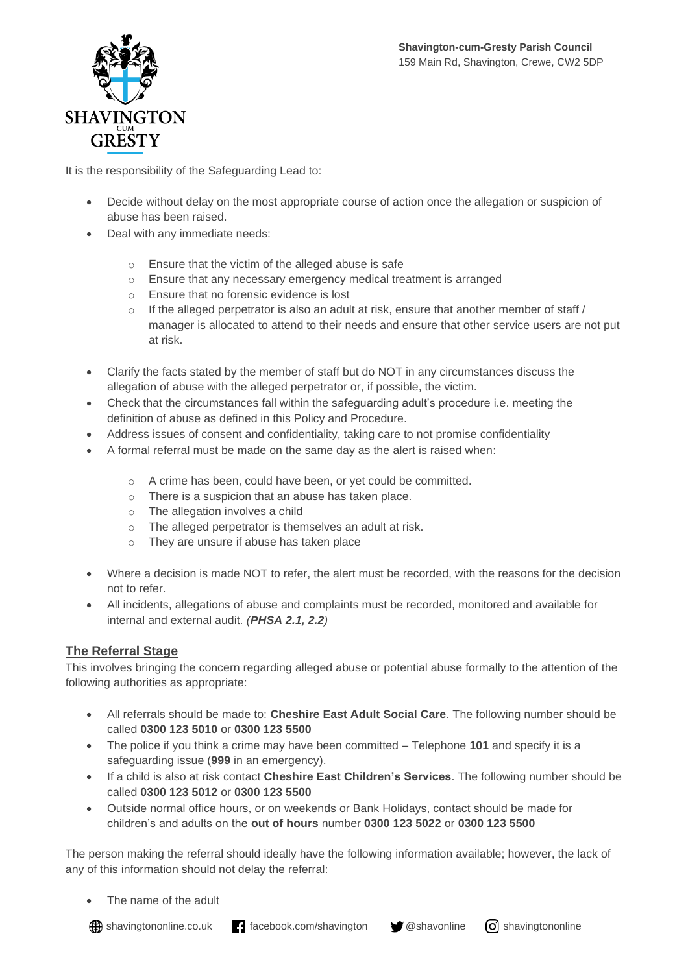

It is the responsibility of the Safeguarding Lead to:

- Decide without delay on the most appropriate course of action once the allegation or suspicion of abuse has been raised.
- Deal with any immediate needs:
	- o Ensure that the victim of the alleged abuse is safe
	- o Ensure that any necessary emergency medical treatment is arranged
	- o Ensure that no forensic evidence is lost
	- $\circ$  If the alleged perpetrator is also an adult at risk, ensure that another member of staff / manager is allocated to attend to their needs and ensure that other service users are not put at risk.
- Clarify the facts stated by the member of staff but do NOT in any circumstances discuss the allegation of abuse with the alleged perpetrator or, if possible, the victim.
- Check that the circumstances fall within the safeguarding adult's procedure i.e. meeting the definition of abuse as defined in this Policy and Procedure.
- Address issues of consent and confidentiality, taking care to not promise confidentiality
- A formal referral must be made on the same day as the alert is raised when:
	- o A crime has been, could have been, or yet could be committed.
	- o There is a suspicion that an abuse has taken place.
	- o The allegation involves a child
	- o The alleged perpetrator is themselves an adult at risk.
	- o They are unsure if abuse has taken place
- Where a decision is made NOT to refer, the alert must be recorded, with the reasons for the decision not to refer.
- All incidents, allegations of abuse and complaints must be recorded, monitored and available for internal and external audit. *(PHSA 2.1, 2.2)*

## **The Referral Stage**

This involves bringing the concern regarding alleged abuse or potential abuse formally to the attention of the following authorities as appropriate:

- All referrals should be made to: **Cheshire East Adult Social Care**. The following number should be called **0300 123 5010** or **0300 123 5500**
- The police if you think a crime may have been committed Telephone **101** and specify it is a safeguarding issue (**999** in an emergency).
- If a child is also at risk contact **Cheshire East Children's Services**. The following number should be called **0300 123 5012** or **0300 123 5500**
- Outside normal office hours, or on weekends or Bank Holidays, contact should be made for children's and adults on the **out of hours** number **0300 123 5022** or **0300 123 5500**

The person making the referral should ideally have the following information available; however, the lack of any of this information should not delay the referral:

The name of the adult

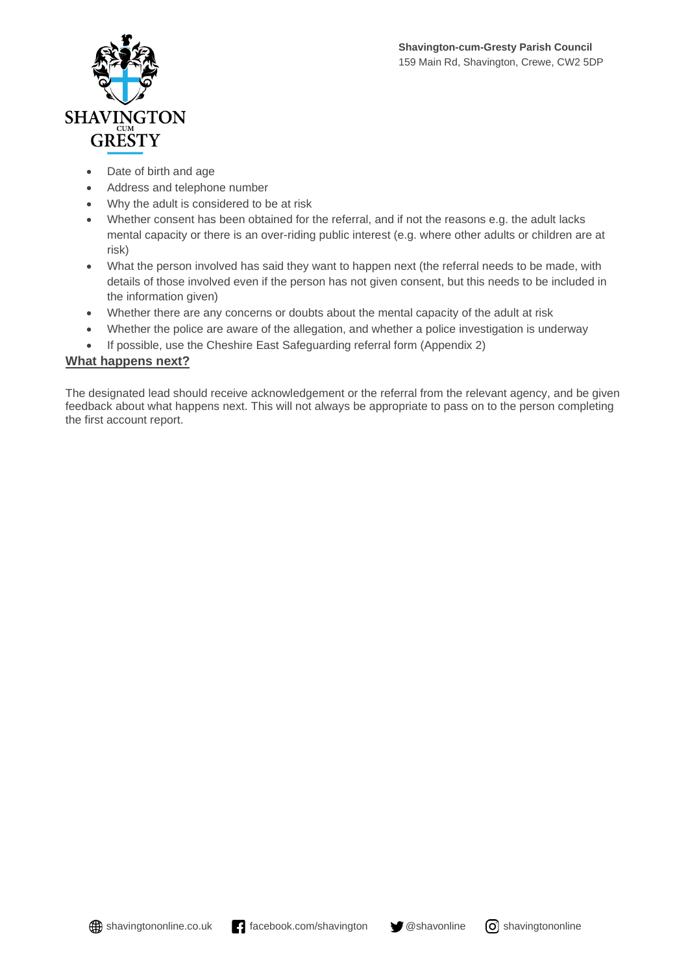

- Date of birth and age
- Address and telephone number
- Why the adult is considered to be at risk
- Whether consent has been obtained for the referral, and if not the reasons e.g. the adult lacks mental capacity or there is an over-riding public interest (e.g. where other adults or children are at risk)
- What the person involved has said they want to happen next (the referral needs to be made, with details of those involved even if the person has not given consent, but this needs to be included in the information given)
- Whether there are any concerns or doubts about the mental capacity of the adult at risk
- Whether the police are aware of the allegation, and whether a police investigation is underway
- If possible, use the Cheshire East Safeguarding referral form (Appendix 2)

### **What happens next?**

The designated lead should receive acknowledgement or the referral from the relevant agency, and be given feedback about what happens next. This will not always be appropriate to pass on to the person completing the first account report.